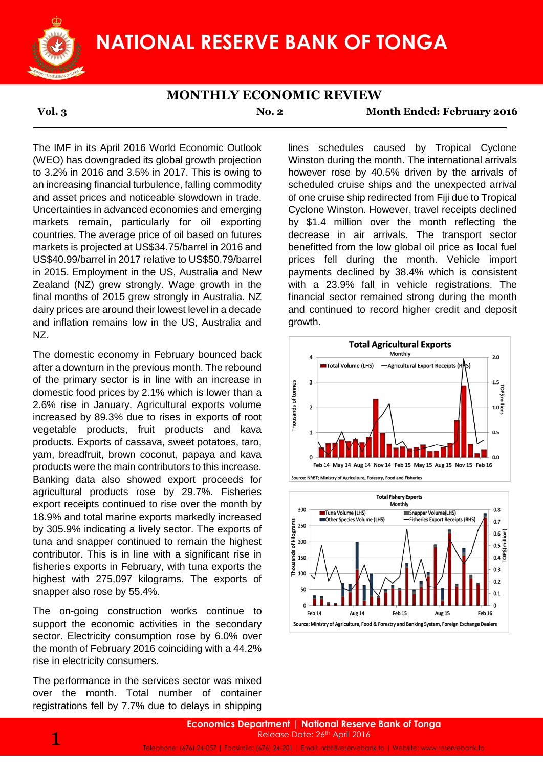

**Vol. 3 No. 2 Month Ended: February 2016**

The IMF in its April 2016 World Economic Outlook (WEO) has downgraded its global growth projection to 3.2% in 2016 and 3.5% in 2017. This is owing to an increasing financial turbulence, falling commodity and asset prices and noticeable slowdown in trade. Uncertainties in advanced economies and emerging markets remain, particularly for oil exporting countries. The average price of oil based on futures markets is projected at US\$34.75/barrel in 2016 and US\$40.99/barrel in 2017 relative to US\$50.79/barrel in 2015. Employment in the US, Australia and New Zealand (NZ) grew strongly. Wage growth in the final months of 2015 grew strongly in Australia. NZ dairy prices are around their lowest level in a decade and inflation remains low in the US, Australia and NZ.

The domestic economy in February bounced back after a downturn in the previous month. The rebound of the primary sector is in line with an increase in domestic food prices by 2.1% which is lower than a 2.6% rise in January. Agricultural exports volume increased by 89.3% due to rises in exports of root vegetable products, fruit products and kava products. Exports of cassava, sweet potatoes, taro, yam, breadfruit, brown coconut, papaya and kava products were the main contributors to this increase. Banking data also showed export proceeds for agricultural products rose by 29.7%. Fisheries export receipts continued to rise over the month by 18.9% and total marine exports markedly increased by 305.9% indicating a lively sector. The exports of tuna and snapper continued to remain the highest contributor. This is in line with a significant rise in fisheries exports in February, with tuna exports the highest with 275,097 kilograms. The exports of snapper also rose by 55.4%.

The on-going construction works continue to support the economic activities in the secondary sector. Electricity consumption rose by 6.0% over the month of February 2016 coinciding with a 44.2% rise in electricity consumers.

The performance in the services sector was mixed over the month. Total number of container registrations fell by 7.7% due to delays in shipping lines schedules caused by Tropical Cyclone Winston during the month. The international arrivals however rose by 40.5% driven by the arrivals of scheduled cruise ships and the unexpected arrival of one cruise ship redirected from Fiji due to Tropical Cyclone Winston. However, travel receipts declined by \$1.4 million over the month reflecting the decrease in air arrivals. The transport sector benefitted from the low global oil price as local fuel prices fell during the month. Vehicle import payments declined by 38.4% which is consistent with a 23.9% fall in vehicle registrations. The financial sector remained strong during the month and continued to record higher credit and deposit growth.





Telephone: (676) 24-057 | Facsimile: (676) 24-201 | Email: nrbt@reservebank.to | Website: www.reservebank.to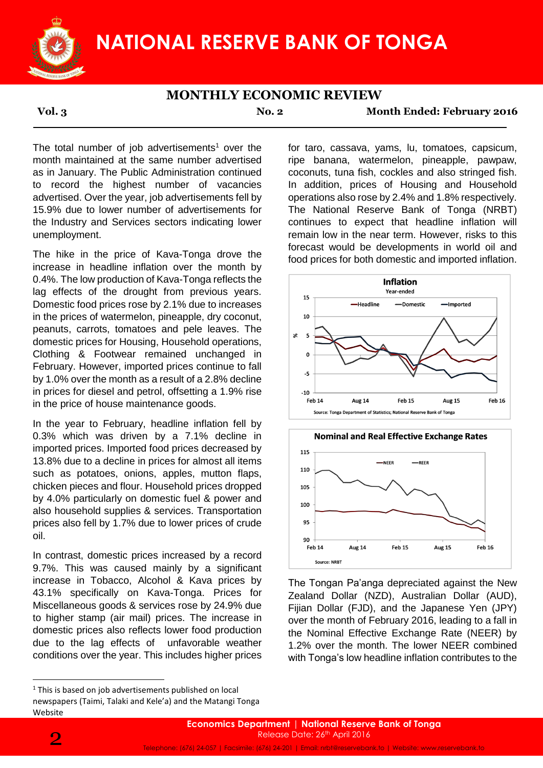

**Vol. 3 No. 2 Month Ended: February 2016**

The total number of job advertisements<sup>1</sup> over the month maintained at the same number advertised as in January. The Public Administration continued to record the highest number of vacancies advertised. Over the year, job advertisements fell by 15.9% due to lower number of advertisements for the Industry and Services sectors indicating lower unemployment.

The hike in the price of Kava-Tonga drove the increase in headline inflation over the month by 0.4%. The low production of Kava-Tonga reflects the lag effects of the drought from previous years. Domestic food prices rose by 2.1% due to increases in the prices of watermelon, pineapple, dry coconut, peanuts, carrots, tomatoes and pele leaves. The domestic prices for Housing, Household operations, Clothing & Footwear remained unchanged in February. However, imported prices continue to fall by 1.0% over the month as a result of a 2.8% decline in prices for diesel and petrol, offsetting a 1.9% rise in the price of house maintenance goods.

In the year to February, headline inflation fell by 0.3% which was driven by a 7.1% decline in imported prices. Imported food prices decreased by 13.8% due to a decline in prices for almost all items such as potatoes, onions, apples, mutton flaps, chicken pieces and flour. Household prices dropped by 4.0% particularly on domestic fuel & power and also household supplies & services. Transportation prices also fell by 1.7% due to lower prices of crude oil.

In contrast, domestic prices increased by a record 9.7%. This was caused mainly by a significant increase in Tobacco, Alcohol & Kava prices by 43.1% specifically on Kava-Tonga. Prices for Miscellaneous goods & services rose by 24.9% due to higher stamp (air mail) prices. The increase in domestic prices also reflects lower food production due to the lag effects of unfavorable weather conditions over the year. This includes higher prices

for taro, cassava, yams, lu, tomatoes, capsicum, ripe banana, watermelon, pineapple, pawpaw, coconuts, tuna fish, cockles and also stringed fish. In addition, prices of Housing and Household operations also rose by 2.4% and 1.8% respectively. The National Reserve Bank of Tonga (NRBT) continues to expect that headline inflation will remain low in the near term. However, risks to this forecast would be developments in world oil and food prices for both domestic and imported inflation.





The Tongan Pa'anga depreciated against the New Zealand Dollar (NZD), Australian Dollar (AUD), Fijian Dollar (FJD), and the Japanese Yen (JPY) over the month of February 2016, leading to a fall in the Nominal Effective Exchange Rate (NEER) by 1.2% over the month. The lower NEER combined with Tonga's low headline inflation contributes to the

1

<sup>&</sup>lt;sup>1</sup> This is based on job advertisements published on local newspapers (Taimi, Talaki and Kele'a) and the Matangi Tonga Website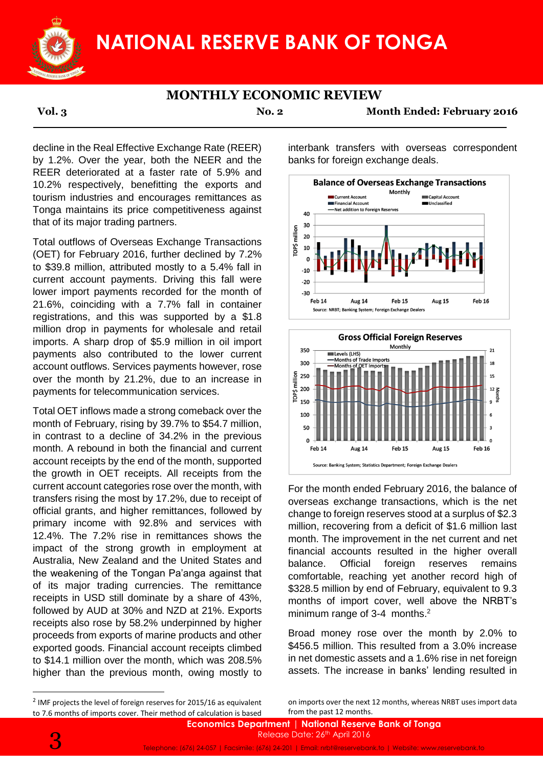

**Vol. 3 No. 2 Month Ended: February 2016**

decline in the Real Effective Exchange Rate (REER) by 1.2%. Over the year, both the NEER and the REER deteriorated at a faster rate of 5.9% and 10.2% respectively, benefitting the exports and tourism industries and encourages remittances as Tonga maintains its price competitiveness against that of its major trading partners.

Total outflows of Overseas Exchange Transactions (OET) for February 2016, further declined by 7.2% to \$39.8 million, attributed mostly to a 5.4% fall in current account payments. Driving this fall were lower import payments recorded for the month of 21.6%, coinciding with a 7.7% fall in container registrations, and this was supported by a \$1.8 million drop in payments for wholesale and retail imports. A sharp drop of \$5.9 million in oil import payments also contributed to the lower current account outflows. Services payments however, rose over the month by 21.2%, due to an increase in payments for telecommunication services.

Total OET inflows made a strong comeback over the month of February, rising by 39.7% to \$54.7 million, in contrast to a decline of 34.2% in the previous month. A rebound in both the financial and current account receipts by the end of the month, supported the growth in OET receipts. All receipts from the current account categories rose over the month, with transfers rising the most by 17.2%, due to receipt of official grants, and higher remittances, followed by primary income with 92.8% and services with 12.4%. The 7.2% rise in remittances shows the impact of the strong growth in employment at Australia, New Zealand and the United States and the weakening of the Tongan Pa'anga against that of its major trading currencies. The remittance receipts in USD still dominate by a share of 43%, followed by AUD at 30% and NZD at 21%. Exports receipts also rose by 58.2% underpinned by higher proceeds from exports of marine products and other exported goods. Financial account receipts climbed to \$14.1 million over the month, which was 208.5% higher than the previous month, owing mostly to

interbank transfers with overseas correspondent banks for foreign exchange deals.





For the month ended February 2016, the balance of overseas exchange transactions, which is the net change to foreign reserves stood at a surplus of \$2.3 million, recovering from a deficit of \$1.6 million last month. The improvement in the net current and net financial accounts resulted in the higher overall balance. Official foreign reserves remains comfortable, reaching yet another record high of \$328.5 million by end of February, equivalent to 9.3 months of import cover, well above the NRBT's minimum range of  $3-4$  months.<sup>2</sup>

Broad money rose over the month by 2.0% to \$456.5 million. This resulted from a 3.0% increase in net domestic assets and a 1.6% rise in net foreign assets. The increase in banks' lending resulted in

on imports over the next 12 months, whereas NRBT uses import data from the past 12 months.

**.** 

<sup>&</sup>lt;sup>2</sup> IMF projects the level of foreign reserves for 2015/16 as equivalent to 7.6 months of imports cover. Their method of calculation is based